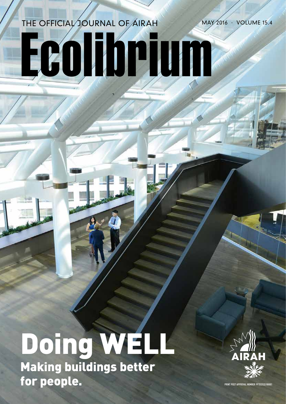# Ecolibrium THE OFFICIAL JOURNAL OF AIRAH MAY 2016 · VOLUME 15.4

# Doing WELL Making buildings better For people. The statistics of the second of the second of the second of the second of the second of the second of the second of the second of the second of the second of the second of the second of the second of the second